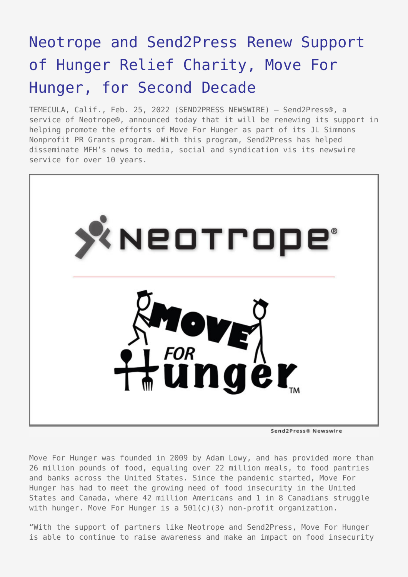## [Neotrope and Send2Press Renew Support](https://www.send2press.com/wire/neotrope-and-send2press-renew-support-of-hunger-relief-charity-move-for-hunger-for-second-decade/) [of Hunger Relief Charity, Move For](https://www.send2press.com/wire/neotrope-and-send2press-renew-support-of-hunger-relief-charity-move-for-hunger-for-second-decade/) [Hunger, for Second Decade](https://www.send2press.com/wire/neotrope-and-send2press-renew-support-of-hunger-relief-charity-move-for-hunger-for-second-decade/)

TEMECULA, Calif., Feb. 25, 2022 (SEND2PRESS NEWSWIRE) — Send2Press®, a service of Neotrope®, announced today that it will be renewing its support in helping promote the efforts of Move For Hunger as part of its JL Simmons Nonprofit PR Grants program. With this program, Send2Press has helped disseminate MFH's news to media, social and syndication vis its newswire service for over 10 years.



Move For Hunger was founded in 2009 by Adam Lowy, and has provided more than 26 million pounds of food, equaling over 22 million meals, to food pantries and banks across the United States. Since the pandemic started, Move For Hunger has had to meet the growing need of food insecurity in the United States and Canada, where 42 million Americans and 1 in 8 Canadians struggle with hunger. Move For Hunger is a 501(c)(3) non-profit organization.

"With the support of partners like Neotrope and Send2Press, Move For Hunger is able to continue to raise awareness and make an impact on food insecurity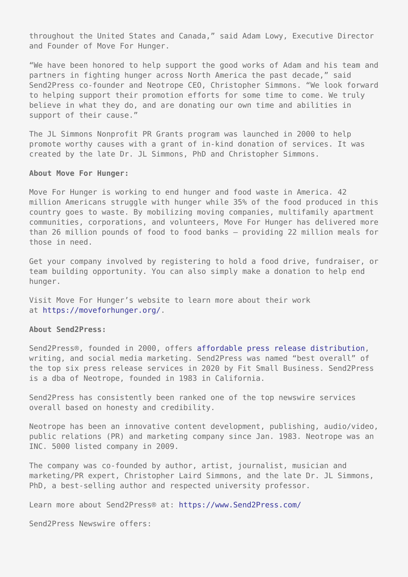throughout the United States and Canada," said Adam Lowy, Executive Director and Founder of Move For Hunger.

"We have been honored to help support the good works of Adam and his team and partners in fighting hunger across North America the past decade," said Send2Press co-founder and Neotrope CEO, Christopher Simmons. "We look forward to helping support their promotion efforts for some time to come. We truly believe in what they do, and are donating our own time and abilities in support of their cause."

The JL Simmons Nonprofit PR Grants program was launched in 2000 to help promote worthy causes with a grant of in-kind donation of services. It was created by the late Dr. JL Simmons, PhD and Christopher Simmons.

## **About Move For Hunger:**

Move For Hunger is working to end hunger and food waste in America. 42 million Americans struggle with hunger while 35% of the food produced in this country goes to waste. By mobilizing moving companies, multifamily apartment communities, corporations, and volunteers, Move For Hunger has delivered more than 26 million pounds of food to food banks – providing 22 million meals for those in need.

Get your company involved by registering to hold a food drive, fundraiser, or team building opportunity. You can also simply make a donation to help end hunger.

Visit Move For Hunger's website to learn more about their work at [https://moveforhunger.org/.](https://moveforhunger.org/)

## **About Send2Press:**

Send2Press®, founded in 2000, offers [affordable press release distribution,](https://www.send2press.com/services/price-list.shtml) writing, and social media marketing. Send2Press was named "best overall" of the top six press release services in 2020 by Fit Small Business. Send2Press is a dba of Neotrope, founded in 1983 in California.

Send2Press has consistently been ranked one of the top newswire services overall based on honesty and credibility.

Neotrope has been an innovative content development, publishing, audio/video, public relations (PR) and marketing company since Jan. 1983. Neotrope was an INC. 5000 listed company in 2009.

The company was co-founded by author, artist, journalist, musician and marketing/PR expert, Christopher Laird Simmons, and the late Dr. JL Simmons, PhD, a best-selling author and respected university professor.

Learn more about Send2Press® at: [https://www.Send2Press.com/](https://www.send2press.com/)

Send2Press Newswire offers: